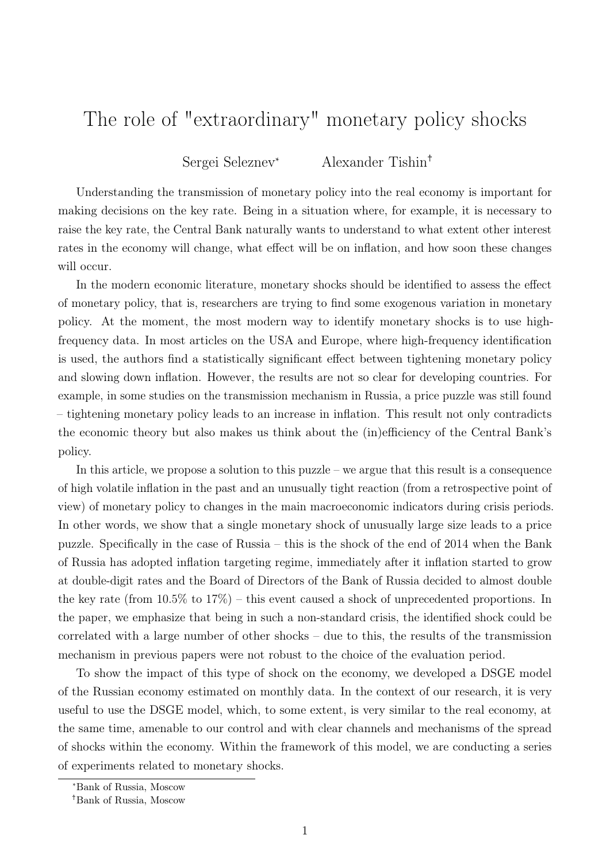## The role of "extraordinary" monetary policy shocks

Sergei Seleznev\* Alexander Tishin†

Understanding the transmission of monetary policy into the real economy is important for making decisions on the key rate. Being in a situation where, for example, it is necessary to raise the key rate, the Central Bank naturally wants to understand to what extent other interest rates in the economy will change, what effect will be on inflation, and how soon these changes will occur.

In the modern economic literature, monetary shocks should be identified to assess the effect of monetary policy, that is, researchers are trying to find some exogenous variation in monetary policy. At the moment, the most modern way to identify monetary shocks is to use highfrequency data. In most articles on the USA and Europe, where high-frequency identification is used, the authors find a statistically significant effect between tightening monetary policy and slowing down inflation. However, the results are not so clear for developing countries. For example, in some studies on the transmission mechanism in Russia, a price puzzle was still found – tightening monetary policy leads to an increase in inflation. This result not only contradicts the economic theory but also makes us think about the (in)efficiency of the Central Bank's policy.

In this article, we propose a solution to this puzzle – we argue that this result is a consequence of high volatile inflation in the past and an unusually tight reaction (from a retrospective point of view) of monetary policy to changes in the main macroeconomic indicators during crisis periods. In other words, we show that a single monetary shock of unusually large size leads to a price puzzle. Specifically in the case of Russia – this is the shock of the end of 2014 when the Bank of Russia has adopted inflation targeting regime, immediately after it inflation started to grow at double-digit rates and the Board of Directors of the Bank of Russia decided to almost double the key rate (from 10.5% to 17%) – this event caused a shock of unprecedented proportions. In the paper, we emphasize that being in such a non-standard crisis, the identified shock could be correlated with a large number of other shocks – due to this, the results of the transmission mechanism in previous papers were not robust to the choice of the evaluation period.

To show the impact of this type of shock on the economy, we developed a DSGE model of the Russian economy estimated on monthly data. In the context of our research, it is very useful to use the DSGE model, which, to some extent, is very similar to the real economy, at the same time, amenable to our control and with clear channels and mechanisms of the spread of shocks within the economy. Within the framework of this model, we are conducting a series of experiments related to monetary shocks.

<sup>\*</sup>Bank of Russia, Moscow

<sup>†</sup>Bank of Russia, Moscow